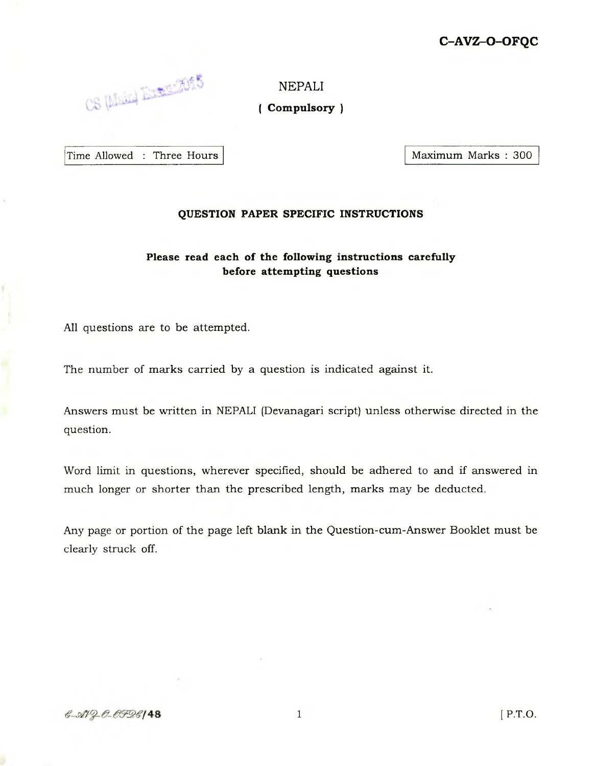CS (Main) Executions

NEPALI

**( Com pu lsory )**

Time Allowed : Three Hours | Maximum Marks : 300

## **QUESTION PAPER SPECIFIC INSTRUCTIONS**

## Please read each of the following instructions carefully **before attempting questions**

All questions are to be attempted.

The number of marks carried by a question is indicated against it.

Answers must be written in NEPALI (Devanagari script) unless otherwise directed in the question.

Word limit in questions, wherever specified, should be adhered to and if answered in much longer or shorter than the prescribed length, marks may be deducted.

Any page or portion of the page left blank in the Question-cum-Answer Booklet must be clearly struck off.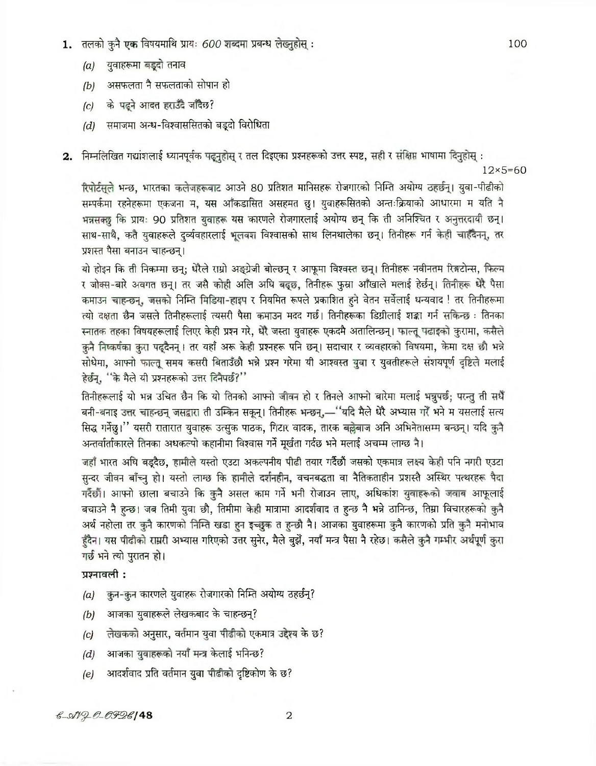1. तलको कुनै एक विषयमाथि प्रायः 600 शब्दमा प्रबन्ध लेख्नुहोस् :

100

- $(a)$  युवाहरूमा बड़ूदो तनाव
- असफलता नै सफलताको सोपान हो  $(b)$
- के पढ्ने आदत हराउँदै जाँदैछ?  $|c|$
- समाजमा अन्ध-विश्वाससितको बड्दो विरोधिता  $(d)$

2. निम्नलिखित गद्यांशलाई ध्यानपूर्वक पढ़नुहोस् र तल दिइएका प्रश्नहरूको उत्तर स्पष्ट, सही र संक्षिप्त भाषामा दिनुहोस् :  $12\times 5=60$ 

रिपोर्टसूले भन्छ, भारतका कलेजहरूबाट आउने 80 प्रतिशत मानिसहरू रोजगारको निम्ति अयोग्य ठहर्छन्। युवा-पीढीको सम्पर्कमा रहनेहरूमा एकजना म, यस आँकडासित असहमत छु। युवाहरूसितको अन्तःक्रियाको आधारमा म यति नै भन्नसक्छ कि प्रायः 90 प्रतिशत युवाहरू यस कारणले रोजगारलाई अयोग्य छन् कि ती अनिश्चित र अनुत्तरदायी छन्। साथ-साथै, कतै युवाहरूले दुर्व्यवहारलाई भूलवश विश्वासको साथ लिनथालेका छन्। तिनीहरू गर्न केही चाहँदैनन्, तर प्रशस्त पैसा बनाउन चाहन्छन्।

यो होइन कि ती निकम्मा छन्; धेरैले राम्रो अङ्ग्रेजी बोल्छन् र आफूमा विश्वस्त छन्। तिनीहरू नवीनतम रिङ्गटोन्स, फिल्म र जोक्स-बारे अवगत छन्। तर जसै कोही अलि अघि बढ्छ, तिनीहरू फुस्रा आँखाले मलाई हेर्छन्। तिनीहरू धेरै पैसा कमाउन चाहन्छन्, जसको निम्ति मिडिया-हाइप र नियमित रूपले प्रकाशित हुने वेतन सर्वेलाई धन्यवाद ! तर तिनीहरूमा त्यो दक्षता छैन जसले तिनीहरूलाई त्यसरी पैसा कमाउन मदद गर्छ। तिनीहरूका डिग्रीलाई शङ्का गर्न सकिन्छ : तिनका स्नातक तहका विषयहरूलाई लिएर केही प्रश्न गरे, धेरै जस्ता युवाहरू एकदमै अतालिन्छन्। फाल्तू पढाइको कुरामा, कसैले कुनै निष्कर्षका कुरा पढ्दैनन्। तर यहाँ अरू केही प्रश्नहरू पनि छन्। सदाचार र व्यवहारको विषयमा, केमा दक्ष छौ भन्ने सोधेमा, आफ्नो फाल्तू समय कसरी बिताउँछौ भन्ने प्रश्न गरेमा यी आश्वस्त युवा र युवतीहरूले संशयपूर्ण दृष्टिले मलाई हेर्छन्, ''के मैले यी प्रश्नहरूको उत्तर दिनैपर्छ?''

तिनीहरूलाई यो भन्न उचित छैन कि यो तिनको आफ्नो जीवन हो र तिनले आफ्नो बारेमा मलाई भन्नुपर्छ; परन्तु ती सधैँ बनी-बनाइ उत्तर चाहन्छन् जसद्वारा ती उम्किन सकून्। तिनीहरू भन्छन्,— 'यदि मैले धेरै अभ्यास गरँ भने म यसलाई सत्य सिद्ध गर्नेछु।'' यसरी रातारात युवाहरू उत्सुक पाठक, गिटार वादक, तारक बल्लेबाज अनि अभिनेतासम्म बन्छन्। यदि कुनै अन्तर्वार्ताकारले तिनका अधकल्पो कहानीमा विश्वास गर्ने मूर्खता गर्दछ भने मलाई अचम्म लाग्छ नै।

जहाँ भारत अघि बड़दैछ, हामीले यस्तो एउटा अकल्पनीय पीढी तयार गर्दैछौं जसको एकमात्र लक्ष्य केही पनि नगरी एउटा सुन्दर जीवन बाँच्नु हो। यस्तो लाग्छ कि हामीले दर्शनहीन, वचनबद्धता वा नैतिकताहीन प्रशस्तै अस्थिर पत्थरहरू पैदा गर्दैछौं। आफ्नो छाला बचाउने कि कुनै असल काम गर्ने भनी रोजाउन लाए, अधिकांश युवाहरूको जवाब आफूलाई बचाउने नै हन्छ। जब तिमी युवा छौ, तिमीमा केही मात्रामा आदर्शवाद त हुन्छ नै भन्ने ठानिन्छ, तिम्रा विचारहरूको कुनै अर्थ नहोला तर कुनै कारणको निम्ति खडा हुन इच्छुक त हुन्छौ नै। आजका युवाहरूमा कुनै कारणको प्रति कुनै मनोभाव हँदैन। यस पीढीको राम्ररी अभ्यास गरिएको उत्तर सुनेर, मैले बुझेँ, नयाँ मन्त्र पैसा नै रहेछ। कसैले कुनै गम्भीर अर्थपूर्ण कुरा गर्छ भने त्यो पुरातन हो।

## प्रश्नावली:

- कुन-कुन कारणले युवाहरू रोजगारको निम्ति अयोग्य ठहर्छन्?  $(a)$
- आजका युवाहरूले लेखकबाद के चाहन्छन्?  $(b)$
- लेखकको अनुसार, वर्तमान युवा पीढीको एकमात्र उद्देश्य के छ?  $|c|$
- आजका युवाहरूको नयाँ मन्त्र केलाई भनिन्छ?  $(d)$
- आदर्शवाद प्रति वर्तमान युवा पीढीको दृष्टिकोण के छ?  $(e)$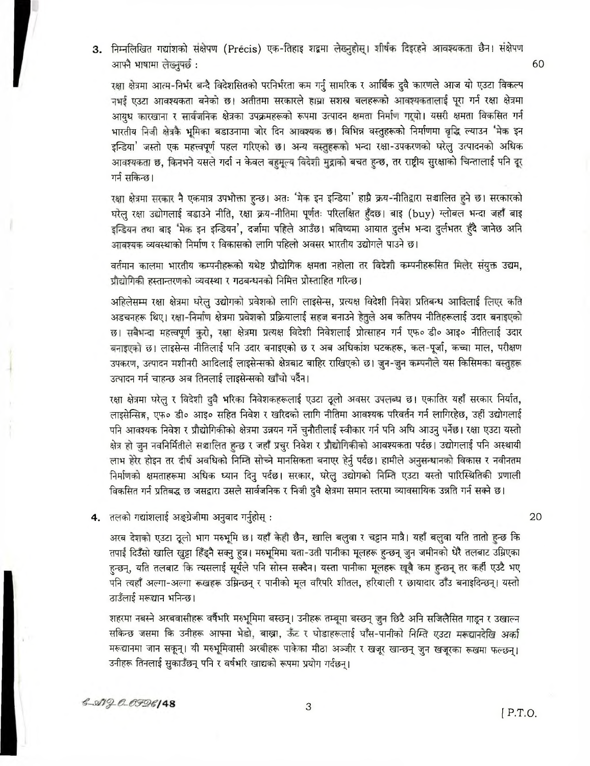3. निम्नलिखित गद्याशको सक्षेपण (Precis) एक-तिहाइ शद्वमा लेख्नुहोस् । शीर्षक दिइरहने आवश्यकता छैन। संक्षेपण आफ्नै भाषामा लेख्नुपर्छ:

रक्षा क्षेत्रमा आत्म-निर्भर बन्दै विदेशसितको परनिर्भरता कम गर्नु सामरिक र आर्थिक दुवै कारणले आज यो एउटा विकल्प नभई एउटा आवश्यकता बनेको छ। अतीतमा सरकारले हाम्रा सशस्त्र बलहरूको आवश्यकतालाई पुरा गर्न रक्षा क्षेत्रमा आयुध कारखाना र सार्वजनिक क्षेत्रका उपक्रमहरूको रूपमा उत्पादन क्षमता निर्माण गरुयो। यसरी क्षमता विकसित गर्न भारतीय निजी क्षेत्रकै भूमिका बडाउनामा जोर दिन आवश्यक छ। विभिन्न वस्तुहरूको निर्माणमा वृद्धि ल्याउन 'मेक इन इन्डिया' जस्तो एक महत्त्वपूर्ण पहल गरिएको छ। अन्य वस्तुहरूको भन्दा रक्षा-उपकरणको घरेलु उत्पादनको अधिक आवश्यकता छ, किनभने यसले गर्दा न केवल बहुमूल्य विदेशी मुद्राको बचत हुन्छ, तर राष्ट्रीय सुरक्षाको चिन्तालाई पनि दूर गर्न सकिन्छ।

रक्षा क्षेत्रमा सरकार नै एकमात्र उपभोक्ता हुन्छ। अतः 'मेक इन इन्डिया' हाथ्रै क्रय-नीतिद्वारा सञ्चालित हुने छ। सरकारको घरेलु रक्षा उद्योगलाई बड़ाउने नीति, रक्षा क्रय-नीतिमा पूर्णतः परिलक्षित हँदछ। बाइ (buy) ग्लोबल भन्दा जहाँ बाइ इन्डियन तथा बाइ 'मेक इन इन्डियन', दर्जामा पहिले आउँछ। भविष्यमा आयात दुर्लभ भन्दा दुर्लभतर हँदै जानेछ अनि आवश्यक व्यवस्थाको निर्माण र विकासको लागि पहिलो अवसर भारतीय उद्योगले पाउने छ।

वर्तमान कालमा भारतीय कम्पनीहरूको यथेष्ट प्रौद्योगिक क्षमता नहोला तर विदेशी कम्पनीहरूसित मिलेर संयुक्त उद्यम, प्रौद्योगिकी हस्तान्तरणको व्यवस्था र गठबन्धनको निमित्त प्रोस्ताहित गरिन्छ।

अहिलेसम्म रक्षा क्षेत्रमा घरेलू उद्योगको प्रवेशको लागि लाइसेन्स, प्रत्यक्ष विदेशी निवेश प्रतिबन्ध आदिलाई लिएर कति अडचनहरू थिए। रक्षा-निर्माण क्षेत्रमा प्रवेशको प्रक्रियालाई सहज बनाउने हेतुले अब कतिपय नीतिहरूलाई उदार बनाइएको छ। सबैभन्दा महत्त्वपूर्ण करो, रक्षा क्षेत्रमा प्रत्यक्ष विदेशी निवेशलाई प्रोत्साहन गर्न एफ० डी० आइ० नीतिलाई उदार बनाइएको छ। लाइसेन्स नीतिलाई पनि उदार बनाइएको छ र अब अधिकांश घटकहरू, कल-पूर्जा, कच्चा माल, परीक्षण उपकरण, उत्पादन मशीनरी आदिलाई लाइसेन्सको क्षेत्रबाट बाहिर राखिएको छ। जुन-जुन कम्पनीले यस किसिमका वस्तुहरू उत्पादन गर्न चाहन्छ अब तिनलाई लाइसेन्सको खाँचो पर्दैन।

रक्षा क्षेत्रमा घरेलू र विदेशी दुवै भरिका निवेशकहरूलाई एउटा ठूलो अवसर उपलब्ध छ। एकातिर यहाँ सरकार निर्यात, लाइसेन्सिङ्ग, एफ० डी० आइ० सहित निवेश र खरिदको लागि नीतिमा आवश्यक परिवर्तन गर्न लागिरहेछ, उहीं उद्योगलाई पनि आवश्यक निवेश र प्रौद्योगिकीको क्षेत्रमा उन्नयन गर्ने चुनौतीलाई स्वीकार गर्न पनि अघि आउनु पर्नेछ। रक्षा एउटा यस्तो क्षेत्र हो जून नवनिर्मितीले सञ्चालित हुन्छ र जहाँ प्रचुर निवेश र प्रौद्योगिकीको आवश्यकता पर्दछ। उद्योगलाई पनि अस्थायी लाभ हेरेर होइन तर दीर्घ अवधिको निम्ति सोच्ने मानसिकता बनाएर हेर्नु पर्दछ। हामीले अनुसन्धानको विकास र नवीनतम निर्माणको क्षमताहरूमा अधिक ध्यान दिनु पर्दछ। सरकार, घरेलु उद्योगको निम्ति एउटा यस्तो पारिस्थितिकी प्रणाली विकसित गर्न प्रतिबद्ध छ जसद्वारा उसले सार्वजनिक र निजी दुवै क्षेत्रमा समान स्तरमा व्यावसायिक उन्नति गर्न सक्ने छ।

4. तलको गद्यांशलाई अङ्ग्रेजीमा अनुवाद गर्नुहोस् :

अरब देशको एउटा ठूलो भाग मरुभूमि छ। यहाँ केही छैन, खालि बलुवा र चट्टान मात्रै। यहाँ बलुवा यति तातो हुन्छ कि तपाईं दिउँसो खालि खुट्टा हिँड्नै सक्नु हुन्न। मरुभूमिमा यता-उती पानीका मूलहरू हुन्छन् जुन जमीनको धेरै तलबाट उम्रिएका हन्छन्, यति तलबाट कि त्यसलाई सूर्यले पनि सोस्न सक्दैन। यस्ता पानीका मूलहरू खूबै कम हुन्छन् तर कहीं एउटै भए पनि त्यहाँ अल्गा-अल्गा रूखहरू उम्रिन्छन् र पानीको मूल वरिपरि शीतल, हरियाली र छायादार ठाँउ बनाइदिन्छन्। यस्तो ठाउँलाई मरूद्यान भनिन्छ।

शहरमा नबस्ने अरबवासीहरू वर्षैभरि मरुभूमिमा बस्छन्। उनीहरू तम्बूमा बस्छन् जुन छिटै अनि सजिलैसित गाडून र उखाल्न सकिन्छ जसमा कि उनीहरू आफ्ना भेडो, बाख्रा, ऊँट र घोडाहरूलाई घाँस-पानीको निम्ति एउटा मरूद्यानदेखि अर्का मरूद्यानमा जान सकून्। यी मरुभूमिवासी अरबीहरू पाकेका मीठा अञ्जीर र खजूर खान्छन् जुन खजूरका रूखमा फल्छन्। उनीहरू तिनलाई सुकाउँछन् पनि र वर्षभरि खाद्यको रूपमा प्रयोग गर्दछन्।

20

60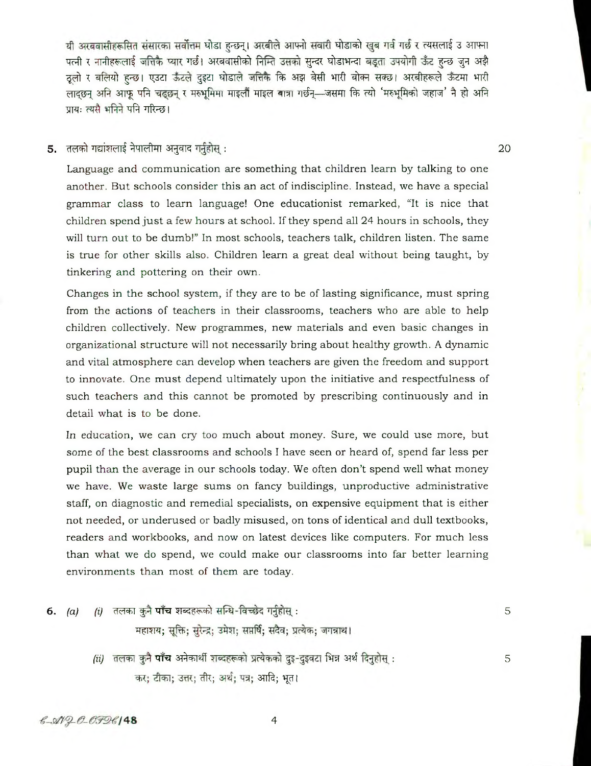यी अरबवासीहरूसित संसारका सर्वोत्तम घोडा हुन्छन्। अरबीले आफ्नो सवारी घोडाको खुब गर्व गर्छ र त्यसलाई उ आफ्ना पत्नी र नानीहरूलाई जत्तिकै प्यार गर्छ। अरबवासीको निम्ति उसको सुन्दर घोडाभन्दा बडूता उपयोगी ऊँट हुन्छ जुन अझै ठूलो र बलियो हुन्छ। एउटा ऊँटले दुइटा घोडाले जत्तिकै कि अझ बेसी भारी बोक्न सक्छ। अरबीहरूले ऊँटमा भारी  $\overline{\text{C}}$  criqued and the state of  $\overline{\text{C}}$  and  $\overline{\text{C}}$  and  $\overline{\text{C}}$  and  $\overline{\text{C}}$  and  $\overline{\text{C}}$  and  $\overline{\text{C}}$  and  $\overline{\text{C}}$  and  $\overline{\text{C}}$  and  $\overline{\text{C}}$  and  $\overline{\text{C}}$  and  $\overline{\text{C}}$  and  $\overline{\text{C}}$  and  $\overline{\$ प्रायः त्यसै भनिने पनि गरिन्छ।

**5.** तलको गद्यांशलाई नेपालीमा अनुवाद गर्नुहोस् :  $20$ 

Language and communication are something that children learn by talking to one another. But schools consider this an act of indiscipline. Instead, we have a special grammar class to learn language! One educationist remarked, "It is nice that children spend just a few hours at school. If they spend all 24 hours in schools, they will turn out to be dumb!" In most schools, teachers talk, children listen. The same is true for other skills also. Children learn a great deal without being taught, by tinkering and pottering on their own.

Changes in the school system, if they are to be of lasting significance, must spring from the actions of teachers in their classrooms, teachers who are able to help children collectively. New programmes, new materials and even basic changes in organizational structure will not necessarily bring about healthy growth. A dynamic and vital atmosphere can develop when teachers are given the freedom and support to innovate. One must depend ultimately upon the initiative and respectfulness of such teachers and this cannot be promoted by prescribing continuously and in detail what is to be done.

In education, we can cry too much about money. Sure, we could use more, but some of the best classrooms and schools I have seen or heard of, spend far less per pupil than the average in our schools today. We often don't spend well what money we have. We waste large sums on fancy buildings, unproductive administrative staff, on diagnostic and remedial specialists, on expensive equipment that is either not needed, or underused or badly misused, on tons of identical and dull textbooks, readers and workbooks, and now on latest devices like computers. For much less than what we do spend, we could make our classrooms into far better learning environments than most of them are today.

**6.** (a) (i) तलका कुनै पाँच शब्दहरूको सन्धि-विच्छेद गर्नुहोस् :  $5$ महाशय; सूक्ति; सुरेन्द्र; उमेश; सप्तर्षि; सदैव; प्रत्येक; जगन्नाथ।

> *(ii)* tTM 3 T ^ i€ fasT 3\*sf : 5 कर; टीका; उत्तर; तीर; अर्थ; पत्र; आदि; भूत।

> > 4